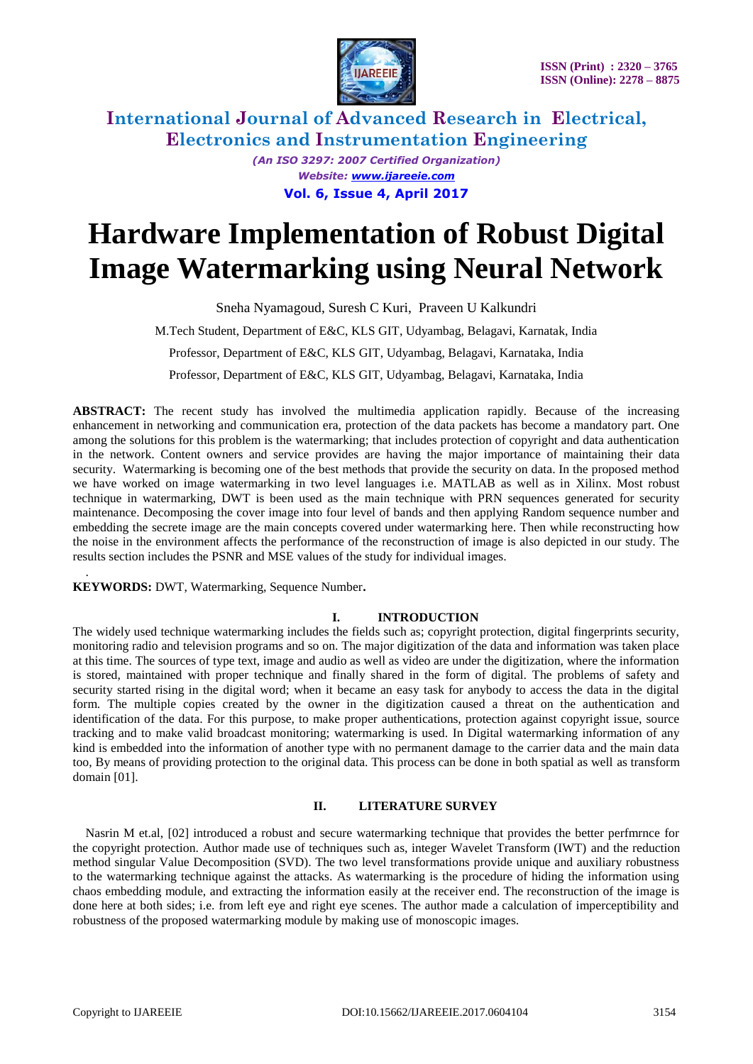

> *(An ISO 3297: 2007 Certified Organization) Website: [www.ijareeie.com](http://www.ijareeie.com/)* **Vol. 6, Issue 4, April 2017**

# **Hardware Implementation of Robust Digital Image Watermarking using Neural Network**

Sneha Nyamagoud, Suresh C Kuri, Praveen U Kalkundri M.Tech Student, Department of E&C, KLS GIT, Udyambag, Belagavi, Karnatak, India Professor, Department of E&C, KLS GIT, Udyambag, Belagavi, Karnataka, India

Professor, Department of E&C, KLS GIT, Udyambag, Belagavi, Karnataka, India

**ABSTRACT:** The recent study has involved the multimedia application rapidly. Because of the increasing enhancement in networking and communication era, protection of the data packets has become a mandatory part. One among the solutions for this problem is the watermarking; that includes protection of copyright and data authentication in the network. Content owners and service provides are having the major importance of maintaining their data security. Watermarking is becoming one of the best methods that provide the security on data. In the proposed method we have worked on image watermarking in two level languages i.e. MATLAB as well as in Xilinx. Most robust technique in watermarking, DWT is been used as the main technique with PRN sequences generated for security maintenance. Decomposing the cover image into four level of bands and then applying Random sequence number and embedding the secrete image are the main concepts covered under watermarking here. Then while reconstructing how the noise in the environment affects the performance of the reconstruction of image is also depicted in our study. The results section includes the PSNR and MSE values of the study for individual images.

. **KEYWORDS:** DWT, Watermarking, Sequence Number**.** 

### **I. INTRODUCTION**

The widely used technique watermarking includes the fields such as; copyright protection, digital fingerprints security, monitoring radio and television programs and so on. The major digitization of the data and information was taken place at this time. The sources of type text, image and audio as well as video are under the digitization, where the information is stored, maintained with proper technique and finally shared in the form of digital. The problems of safety and security started rising in the digital word; when it became an easy task for anybody to access the data in the digital form. The multiple copies created by the owner in the digitization caused a threat on the authentication and identification of the data. For this purpose, to make proper authentications, protection against copyright issue, source tracking and to make valid broadcast monitoring; watermarking is used. In Digital watermarking information of any kind is embedded into the information of another type with no permanent damage to the carrier data and the main data too, By means of providing protection to the original data. This process can be done in both spatial as well as transform domain [01].

### **II. LITERATURE SURVEY**

Nasrin M et.al, [02] introduced a robust and secure watermarking technique that provides the better perfmrnce for the copyright protection. Author made use of techniques such as, integer Wavelet Transform (IWT) and the reduction method singular Value Decomposition (SVD). The two level transformations provide unique and auxiliary robustness to the watermarking technique against the attacks. As watermarking is the procedure of hiding the information using chaos embedding module, and extracting the information easily at the receiver end. The reconstruction of the image is done here at both sides; i.e. from left eye and right eye scenes. The author made a calculation of imperceptibility and robustness of the proposed watermarking module by making use of monoscopic images.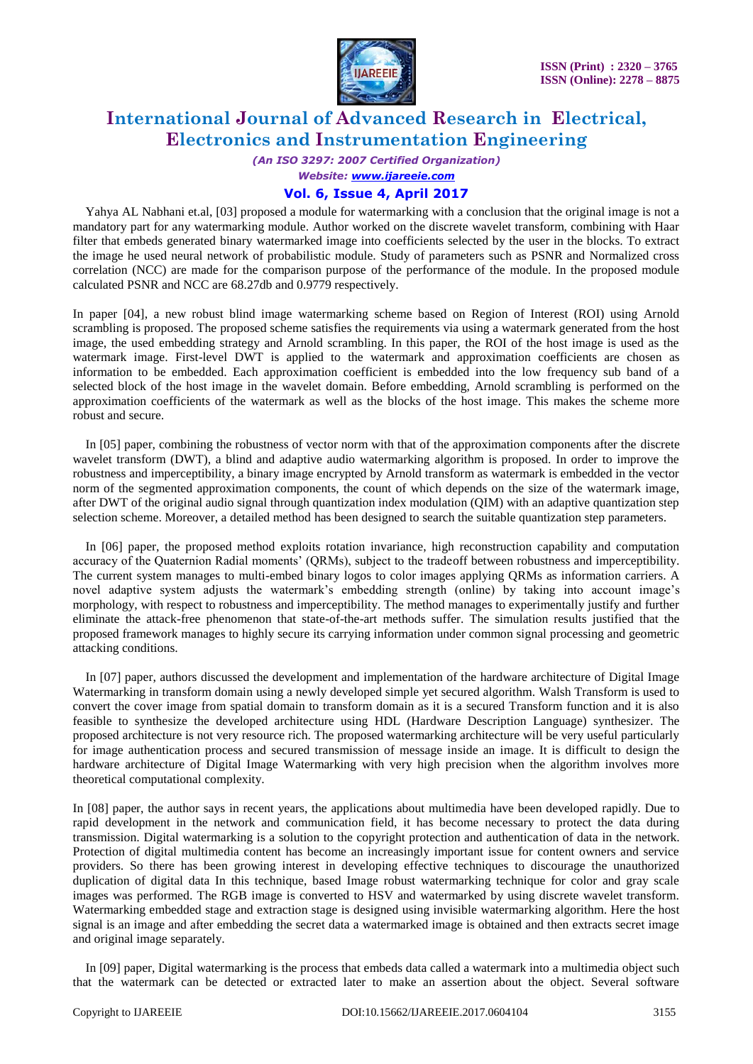

*(An ISO 3297: 2007 Certified Organization)*

# *Website: [www.ijareeie.com](http://www.ijareeie.com/)*

### **Vol. 6, Issue 4, April 2017**

Yahya AL Nabhani et.al, [03] proposed a module for watermarking with a conclusion that the original image is not a mandatory part for any watermarking module. Author worked on the discrete wavelet transform, combining with Haar filter that embeds generated binary watermarked image into coefficients selected by the user in the blocks. To extract the image he used neural network of probabilistic module. Study of parameters such as PSNR and Normalized cross correlation (NCC) are made for the comparison purpose of the performance of the module. In the proposed module calculated PSNR and NCC are 68.27db and 0.9779 respectively.

In paper [04], a new robust blind image watermarking scheme based on Region of Interest (ROI) using Arnold scrambling is proposed. The proposed scheme satisfies the requirements via using a watermark generated from the host image, the used embedding strategy and Arnold scrambling. In this paper, the ROI of the host image is used as the watermark image. First-level DWT is applied to the watermark and approximation coefficients are chosen as information to be embedded. Each approximation coefficient is embedded into the low frequency sub band of a selected block of the host image in the wavelet domain. Before embedding, Arnold scrambling is performed on the approximation coefficients of the watermark as well as the blocks of the host image. This makes the scheme more robust and secure.

In [05] paper, combining the robustness of vector norm with that of the approximation components after the discrete wavelet transform (DWT), a blind and adaptive audio watermarking algorithm is proposed. In order to improve the robustness and imperceptibility, a binary image encrypted by Arnold transform as watermark is embedded in the vector norm of the segmented approximation components, the count of which depends on the size of the watermark image, after DWT of the original audio signal through quantization index modulation (QIM) with an adaptive quantization step selection scheme. Moreover, a detailed method has been designed to search the suitable quantization step parameters.

In [06] paper, the proposed method exploits rotation invariance, high reconstruction capability and computation accuracy of the Quaternion Radial moments' (QRMs), subject to the tradeoff between robustness and imperceptibility. The current system manages to multi-embed binary logos to color images applying QRMs as information carriers. A novel adaptive system adjusts the watermark's embedding strength (online) by taking into account image's morphology, with respect to robustness and imperceptibility. The method manages to experimentally justify and further eliminate the attack-free phenomenon that state-of-the-art methods suffer. The simulation results justified that the proposed framework manages to highly secure its carrying information under common signal processing and geometric attacking conditions.

In [07] paper, authors discussed the development and implementation of the hardware architecture of Digital Image Watermarking in transform domain using a newly developed simple yet secured algorithm. Walsh Transform is used to convert the cover image from spatial domain to transform domain as it is a secured Transform function and it is also feasible to synthesize the developed architecture using HDL (Hardware Description Language) synthesizer. The proposed architecture is not very resource rich. The proposed watermarking architecture will be very useful particularly for image authentication process and secured transmission of message inside an image. It is difficult to design the hardware architecture of Digital Image Watermarking with very high precision when the algorithm involves more theoretical computational complexity.

In [08] paper, the author says in recent years, the applications about multimedia have been developed rapidly. Due to rapid development in the network and communication field, it has become necessary to protect the data during transmission. Digital watermarking is a solution to the copyright protection and authentication of data in the network. Protection of digital multimedia content has become an increasingly important issue for content owners and service providers. So there has been growing interest in developing effective techniques to discourage the unauthorized duplication of digital data In this technique, based Image robust watermarking technique for color and gray scale images was performed. The RGB image is converted to HSV and watermarked by using discrete wavelet transform. Watermarking embedded stage and extraction stage is designed using invisible watermarking algorithm. Here the host signal is an image and after embedding the secret data a watermarked image is obtained and then extracts secret image and original image separately.

In [09] paper, Digital watermarking is the process that embeds data called a watermark into a multimedia object such that the watermark can be detected or extracted later to make an assertion about the object. Several software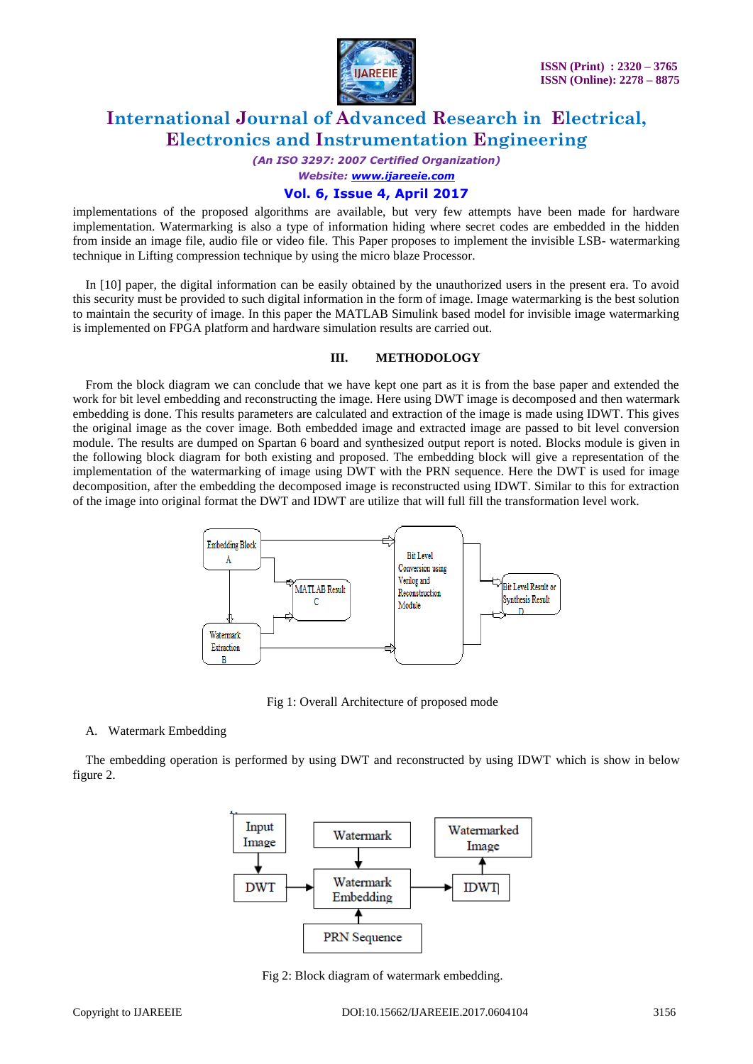

*(An ISO 3297: 2007 Certified Organization)*

*Website: [www.ijareeie.com](http://www.ijareeie.com/)*

#### **Vol. 6, Issue 4, April 2017**

implementations of the proposed algorithms are available, but very few attempts have been made for hardware implementation. Watermarking is also a type of information hiding where secret codes are embedded in the hidden from inside an image file, audio file or video file. This Paper proposes to implement the invisible LSB- watermarking technique in Lifting compression technique by using the micro blaze Processor.

In [10] paper, the digital information can be easily obtained by the unauthorized users in the present era. To avoid this security must be provided to such digital information in the form of image. Image watermarking is the best solution to maintain the security of image. In this paper the MATLAB Simulink based model for invisible image watermarking is implemented on FPGA platform and hardware simulation results are carried out.

#### **III. METHODOLOGY**

From the block diagram we can conclude that we have kept one part as it is from the base paper and extended the work for bit level embedding and reconstructing the image. Here using DWT image is decomposed and then watermark embedding is done. This results parameters are calculated and extraction of the image is made using IDWT. This gives the original image as the cover image. Both embedded image and extracted image are passed to bit level conversion module. The results are dumped on Spartan 6 board and synthesized output report is noted. Blocks module is given in the following block diagram for both existing and proposed. The embedding block will give a representation of the implementation of the watermarking of image using DWT with the PRN sequence. Here the DWT is used for image decomposition, after the embedding the decomposed image is reconstructed using IDWT. Similar to this for extraction of the image into original format the DWT and IDWT are utilize that will full fill the transformation level work.



Fig 1: Overall Architecture of proposed mode

#### A. Watermark Embedding

The embedding operation is performed by using DWT and reconstructed by using IDWT which is show in below figure 2.



Fig 2: Block diagram of watermark embedding.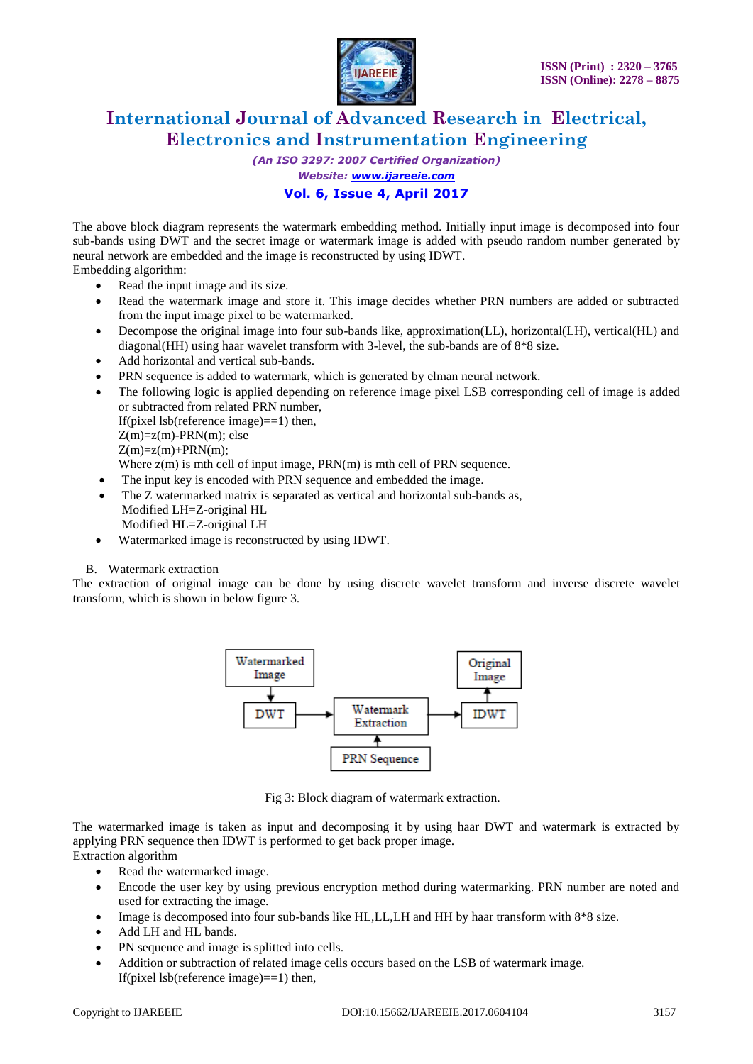

*(An ISO 3297: 2007 Certified Organization)*

*Website: [www.ijareeie.com](http://www.ijareeie.com/)*

### **Vol. 6, Issue 4, April 2017**

The above block diagram represents the watermark embedding method. Initially input image is decomposed into four sub-bands using DWT and the secret image or watermark image is added with pseudo random number generated by neural network are embedded and the image is reconstructed by using IDWT.

Embedding algorithm:

- Read the input image and its size.
- Read the watermark image and store it. This image decides whether PRN numbers are added or subtracted from the input image pixel to be watermarked.
- Decompose the original image into four sub-bands like, approximation(LL), horizontal(LH), vertical(HL) and diagonal(HH) using haar wavelet transform with 3-level, the sub-bands are of 8\*8 size.
- Add horizontal and vertical sub-bands.
- PRN sequence is added to watermark, which is generated by elman neural network.
- The following logic is applied depending on reference image pixel LSB corresponding cell of image is added or subtracted from related PRN number,

If(pixel lsb(reference image)==1) then,  $Z(m)=Z(m)$ -PRN $(m)$ ; else

 $Z(m)=z(m)+PRN(m);$ 

Where  $z(m)$  is mth cell of input image,  $PRN(m)$  is mth cell of PRN sequence.

- The input key is encoded with PRN sequence and embedded the image.
- The Z watermarked matrix is separated as vertical and horizontal sub-bands as, Modified LH=Z-original HL Modified HL=Z-original LH
- Watermarked image is reconstructed by using IDWT.

#### B. Watermark extraction

The extraction of original image can be done by using discrete wavelet transform and inverse discrete wavelet transform, which is shown in below figure 3.



Fig 3: Block diagram of watermark extraction.

The watermarked image is taken as input and decomposing it by using haar DWT and watermark is extracted by applying PRN sequence then IDWT is performed to get back proper image.

Extraction algorithm

- Read the watermarked image.
- Encode the user key by using previous encryption method during watermarking. PRN number are noted and used for extracting the image.
- Image is decomposed into four sub-bands like HL, LL, LH and HH by haar transform with 8<sup>\*8</sup> size.
- Add LH and HL bands.
- PN sequence and image is splitted into cells.
- Addition or subtraction of related image cells occurs based on the LSB of watermark image. If(pixel lsb(reference image)==1) then,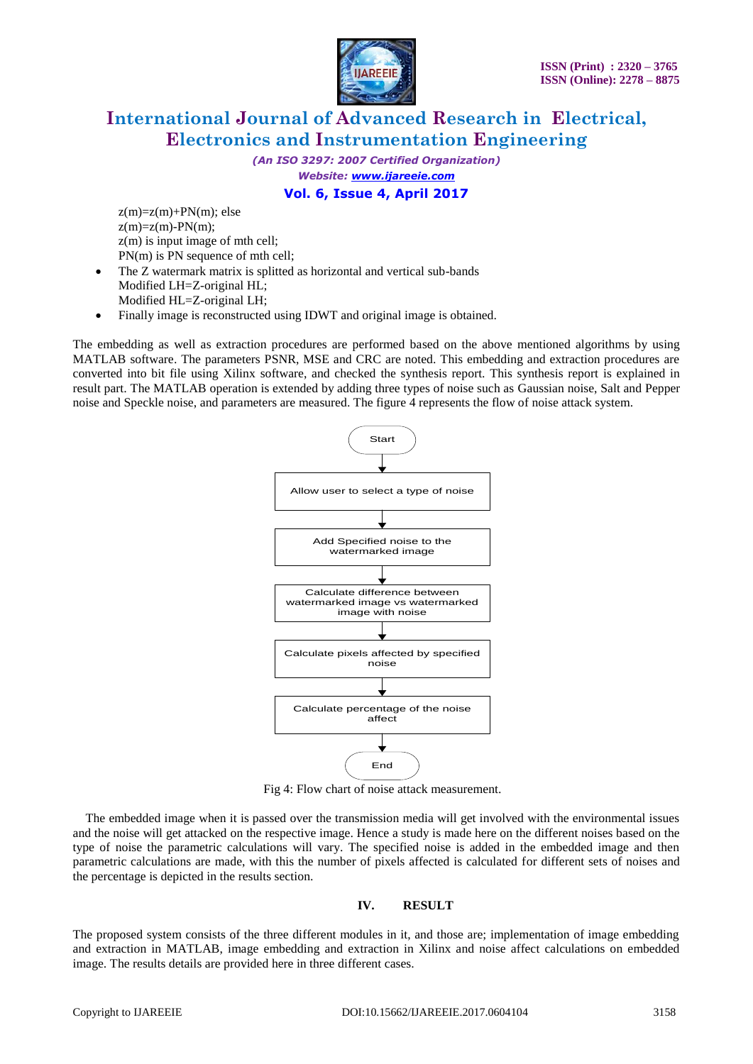

*(An ISO 3297: 2007 Certified Organization) Website: [www.ijareeie.com](http://www.ijareeie.com/)*

**Vol. 6, Issue 4, April 2017**

 $z(m)=z(m)+PN(m)$ ; else  $z(m)=z(m)-PN(m);$ z(m) is input image of mth cell; PN(m) is PN sequence of mth cell;

- The Z watermark matrix is splitted as horizontal and vertical sub-bands Modified LH=Z-original HL; Modified HL=Z-original LH;
- Finally image is reconstructed using IDWT and original image is obtained.

The embedding as well as extraction procedures are performed based on the above mentioned algorithms by using MATLAB software. The parameters PSNR, MSE and CRC are noted. This embedding and extraction procedures are converted into bit file using Xilinx software, and checked the synthesis report. This synthesis report is explained in result part. The MATLAB operation is extended by adding three types of noise such as Gaussian noise, Salt and Pepper noise and Speckle noise, and parameters are measured. The figure 4 represents the flow of noise attack system.



Fig 4: Flow chart of noise attack measurement.

The embedded image when it is passed over the transmission media will get involved with the environmental issues and the noise will get attacked on the respective image. Hence a study is made here on the different noises based on the type of noise the parametric calculations will vary. The specified noise is added in the embedded image and then parametric calculations are made, with this the number of pixels affected is calculated for different sets of noises and the percentage is depicted in the results section.

### **IV. RESULT**

The proposed system consists of the three different modules in it, and those are; implementation of image embedding and extraction in MATLAB, image embedding and extraction in Xilinx and noise affect calculations on embedded image. The results details are provided here in three different cases.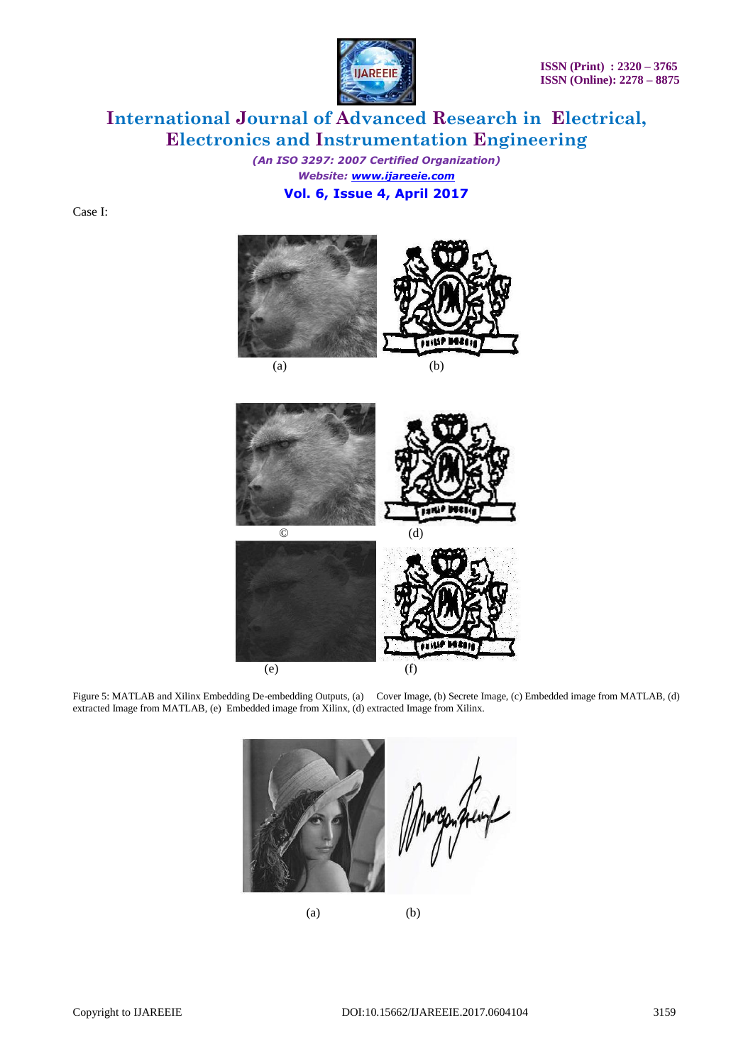

*(An ISO 3297: 2007 Certified Organization) Website: [www.ijareeie.com](http://www.ijareeie.com/)* **Vol. 6, Issue 4, April 2017**

Case I:



Figure 5: MATLAB and Xilinx Embedding De-embedding Outputs, (a) Cover Image, (b) Secrete Image, (c) Embedded image from MATLAB, (d) extracted Image from MATLAB, (e) Embedded image from Xilinx, (d) extracted Image from Xilinx.





 $(a)$  (b)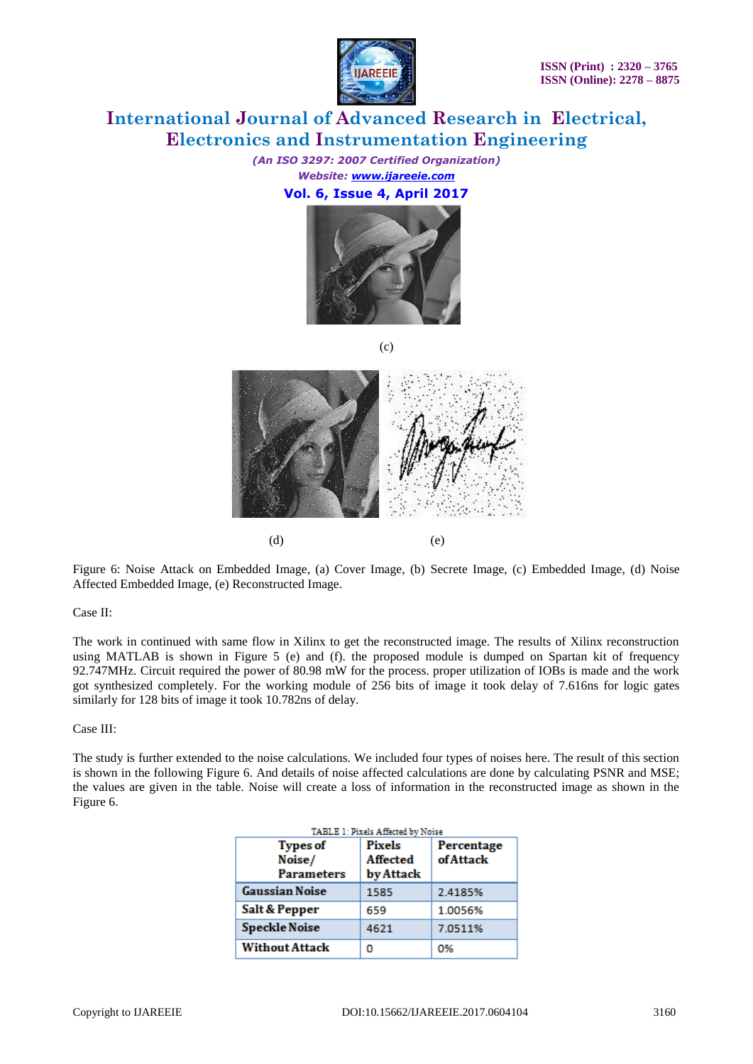

*(An ISO 3297: 2007 Certified Organization) Website: [www.ijareeie.com](http://www.ijareeie.com/)* **Vol. 6, Issue 4, April 2017**



(c)



Figure 6: Noise Attack on Embedded Image, (a) Cover Image, (b) Secrete Image, (c) Embedded Image, (d) Noise Affected Embedded Image, (e) Reconstructed Image.

Case II:

The work in continued with same flow in Xilinx to get the reconstructed image. The results of Xilinx reconstruction using MATLAB is shown in Figure 5 (e) and (f). the proposed module is dumped on Spartan kit of frequency 92.747MHz. Circuit required the power of 80.98 mW for the process. proper utilization of IOBs is made and the work got synthesized completely. For the working module of 256 bits of image it took delay of 7.616ns for logic gates similarly for 128 bits of image it took 10.782ns of delay.

#### Case III:

The study is further extended to the noise calculations. We included four types of noises here. The result of this section is shown in the following Figure 6. And details of noise affected calculations are done by calculating PSNR and MSE; the values are given in the table. Noise will create a loss of information in the reconstructed image as shown in the Figure 6.

| TABLE 1: Pixels Affected by Noise              |                                        |                         |  |  |  |  |  |
|------------------------------------------------|----------------------------------------|-------------------------|--|--|--|--|--|
| <b>Types of</b><br>Noise/<br><b>Parameters</b> | <b>Pixels</b><br>Affected<br>by Attack | Percentage<br>of Attack |  |  |  |  |  |
| <b>Gaussian Noise</b>                          | 1585                                   | 2.4185%                 |  |  |  |  |  |
| Salt & Pepper                                  | 659                                    | 1.0056%                 |  |  |  |  |  |
| <b>Speckle Noise</b>                           | 4621                                   | 7.0511%                 |  |  |  |  |  |
| <b>Without Attack</b>                          | o                                      | 0%                      |  |  |  |  |  |